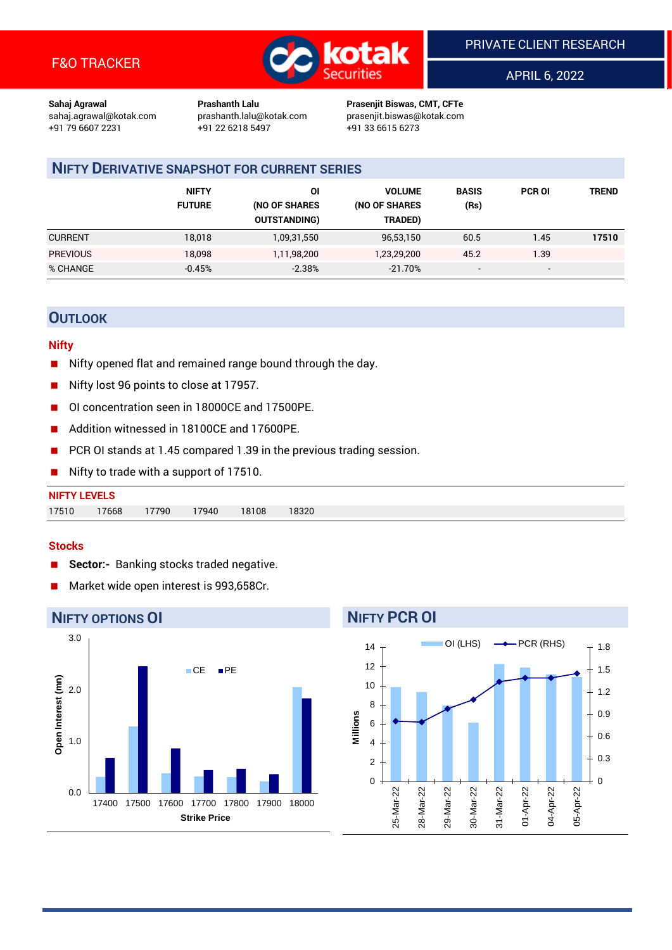

APRIL 6, 2022

**Sahaj Agrawal Prashanth Lalu Prasenjit Biswas, CMT, CFTe** +91 22 6218 5497 +91 33 6615 6273

sahaj.agrawal@kotak.com [prashanth.lalu@kotak.com](mailto:prashanth.lalu@kotak.com) prasenjit.biswas@kotak.com

### **NIFTY DERIVATIVE SNAPSHOT FOR CURRENT SERIES**

|                 | <b>NIFTY</b><br><b>FUTURE</b> | ΟI<br>(NO OF SHARES<br><b>OUTSTANDING)</b> | <b>VOLUME</b><br>(NO OF SHARES<br>TRADED) | <b>BASIS</b><br>(Rs)     | <b>PCR OI</b>            | TREND |
|-----------------|-------------------------------|--------------------------------------------|-------------------------------------------|--------------------------|--------------------------|-------|
| <b>CURRENT</b>  | 18,018                        | 1,09,31,550                                | 96,53,150                                 | 60.5                     | 1.45                     | 17510 |
| <b>PREVIOUS</b> | 18,098                        | 1,11,98,200                                | 1,23,29,200                               | 45.2                     | 1.39                     |       |
| % CHANGE        | $-0.45%$                      | $-2.38%$                                   | $-21.70%$                                 | $\overline{\phantom{a}}$ | $\overline{\phantom{0}}$ |       |

#### **OUTLOOK**

#### **Nifty**

- Nifty opened flat and remained range bound through the day.
- Nifty lost 96 points to close at 17957.
- OI concentration seen in 18000CE and 17500PE.
- Addition witnessed in 18100CE and 17600PE.
- PCR OI stands at 1.45 compared 1.39 in the previous trading session.
- Nifty to trade with a support of 17510.

| <b>NIFTY LEVELS</b> |       |       |       |       |       |
|---------------------|-------|-------|-------|-------|-------|
| 17510               | 17668 | 17790 | 17940 | 18108 | 18320 |

#### **Stocks**

- **Sector:-** Banking stocks traded negative.
- Market wide open interest is 993,658Cr.



### **NIFTY PCR OI**

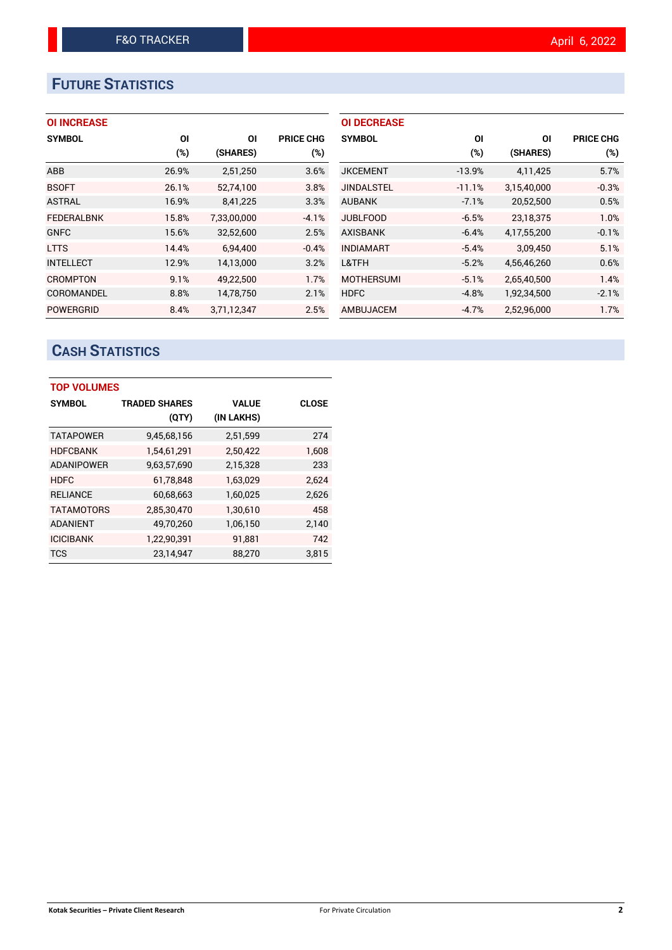# **FUTURE STATISTICS**

#### **OI INCREASE**

| <b>SYMBOL</b>     | ΟI     | ΟI          | <b>PRICE CHG</b> |
|-------------------|--------|-------------|------------------|
|                   | $(\%)$ | (SHARES)    | $(\%)$           |
| <b>ABB</b>        | 26.9%  | 2,51,250    | 3.6%             |
| <b>BSOFT</b>      | 26.1%  | 52,74,100   | 3.8%             |
| <b>ASTRAL</b>     | 16.9%  | 8,41,225    | 3.3%             |
| <b>FEDERALBNK</b> | 15.8%  | 7,33,00,000 | $-4.1%$          |
| <b>GNFC</b>       | 15.6%  | 32,52,600   | 2.5%             |
| <b>LTTS</b>       | 14.4%  | 6,94,400    | $-0.4%$          |
| <b>INTELLECT</b>  | 12.9%  | 14,13,000   | 3.2%             |
| <b>CROMPTON</b>   | 9.1%   | 49,22,500   | 1.7%             |
| COROMANDEL        | 8.8%   | 14,78,750   | 2.1%             |
| <b>POWERGRID</b>  | 8.4%   | 3,71,12,347 | 2.5%             |

| <b>OI DECREASE</b> |          |             |                  |
|--------------------|----------|-------------|------------------|
| <b>SYMBOL</b>      | ΟI       | ΟI          | <b>PRICE CHG</b> |
|                    | $(\%)$   | (SHARES)    | $(\%)$           |
| <b>JKCEMENT</b>    | $-13.9%$ | 4,11,425    | 5.7%             |
| <b>JINDALSTEL</b>  | $-11.1%$ | 3,15,40,000 | $-0.3%$          |
| <b>AUBANK</b>      | $-7.1%$  | 20,52,500   | 0.5%             |
| <b>JUBLFOOD</b>    | $-6.5%$  | 23.18.375   | 1.0%             |
| <b>AXISBANK</b>    | $-6.4%$  | 4,17,55,200 | $-0.1%$          |
| <b>INDIAMART</b>   | $-5.4%$  | 3,09,450    | 5.1%             |
| L&TFH              | $-5.2%$  | 4,56,46,260 | 0.6%             |
| <b>MOTHERSUMI</b>  | $-5.1%$  | 2,65,40,500 | 1.4%             |
| <b>HDFC</b>        | $-4.8%$  | 1,92,34,500 | $-2.1%$          |
| <b>AMBUJACEM</b>   | $-4.7%$  | 2,52,96,000 | 1.7%             |

# **CASH STATISTICS**

| <b>TOP VOLUMES</b> |                      |              |              |  |  |  |  |
|--------------------|----------------------|--------------|--------------|--|--|--|--|
| <b>SYMBOL</b>      | <b>TRADED SHARES</b> | <b>VALUE</b> | <b>CLOSE</b> |  |  |  |  |
|                    | (QTY)                | (IN LAKHS)   |              |  |  |  |  |
| <b>TATAPOWER</b>   | 9,45,68,156          | 2,51,599     | 274          |  |  |  |  |
| <b>HDFCBANK</b>    | 1,54,61,291          | 2,50,422     | 1.608        |  |  |  |  |
| <b>ADANIPOWER</b>  | 9,63,57,690          | 2,15,328     | 233          |  |  |  |  |
| <b>HDFC</b>        | 61.78.848            | 1,63,029     | 2.624        |  |  |  |  |
| <b>RELIANCE</b>    | 60,68,663            | 1,60,025     | 2,626        |  |  |  |  |
| <b>TATAMOTORS</b>  | 2,85,30,470          | 1,30,610     | 458          |  |  |  |  |
| <b>ADANIENT</b>    | 49,70,260            | 1,06,150     | 2,140        |  |  |  |  |
| <b>ICICIBANK</b>   | 1,22,90,391          | 91,881       | 742          |  |  |  |  |
| <b>TCS</b>         | 23,14,947            | 88,270       | 3,815        |  |  |  |  |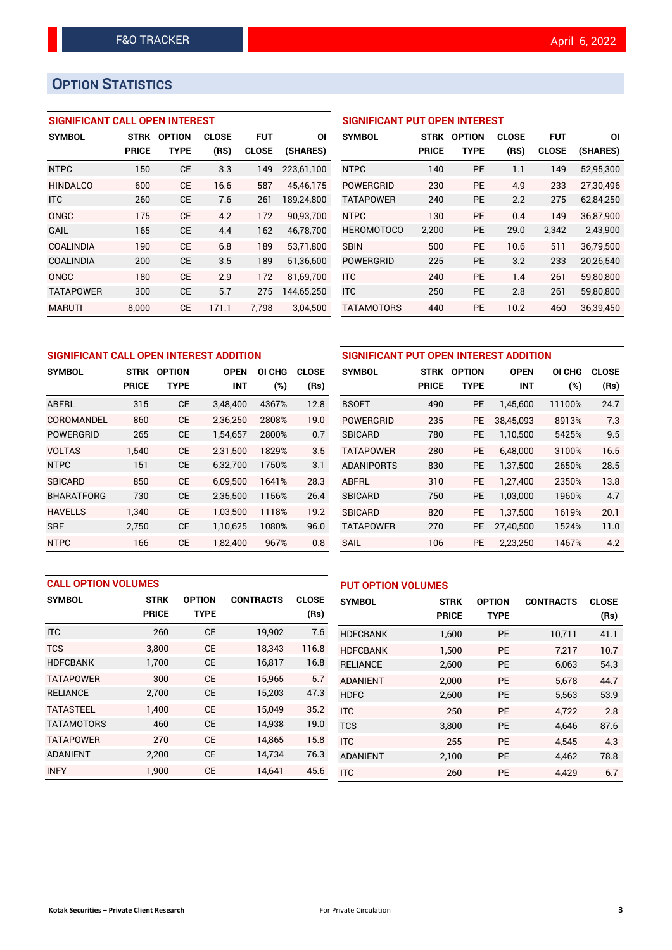## **OPTION STATISTICS**

#### **SIGNIFICANT CALL OPEN INTEREST**

| <b>SYMBOL</b>    | <b>STRK</b>  | <b>OPTION</b> | <b>CLOSE</b> | <b>FUT</b>   | ΟI         |
|------------------|--------------|---------------|--------------|--------------|------------|
|                  | <b>PRICE</b> | TYPE          | (RS)         | <b>CLOSE</b> | (SHARES)   |
| <b>NTPC</b>      | 150          | CE            | 3.3          | 149          | 223,61,100 |
| <b>HINDALCO</b>  | 600          | CF            | 16.6         | 587          | 45,46,175  |
| <b>ITC</b>       | 260          | CE            | 7.6          | 261          | 189,24,800 |
| ONGC             | 175          | CE            | 4.2          | 172          | 90,93,700  |
| GAIL             | 165          | CE            | 4.4          | 162          | 46,78,700  |
| COALINDIA        | 190          | <b>CE</b>     | 6.8          | 189          | 53,71,800  |
| <b>COALINDIA</b> | 200          | CE            | 3.5          | 189          | 51,36,600  |
| ONGC             | 180          | CE            | 2.9          | 172          | 81,69,700  |
| <b>TATAPOWER</b> | 300          | CE            | 5.7          | 275          | 144,65,250 |
| <b>MARUTI</b>    | 8.000        | CE            | 171.1        | 7.798        | 3.04.500   |

#### **SIGNIFICANT PUT OPEN INTEREST**

| <b>SYMBOL</b>     | <b>STRK</b><br><b>PRICE</b> | <b>OPTION</b><br>TYPE | <b>CLOSE</b><br>(RS) | FUT<br><b>CLOSE</b> | ΟI<br>(SHARES) |
|-------------------|-----------------------------|-----------------------|----------------------|---------------------|----------------|
| <b>NTPC</b>       | 140                         | PF                    | 1.1                  | 149                 | 52,95,300      |
| POWERGRID         | 230                         | PF                    | 4.9                  | 233                 | 27,30,496      |
| <b>TATAPOWER</b>  | 240                         | PF                    | 2.2                  | 275                 | 62,84,250      |
| <b>NTPC</b>       | 130                         | PF                    | 0.4                  | 149                 | 36,87,900      |
| <b>HEROMOTOCO</b> | 2,200                       | PF                    | 29.0                 | 2,342               | 2,43,900       |
| <b>SBIN</b>       | 500                         | PF                    | 10.6                 | 511                 | 36,79,500      |
| <b>POWERGRID</b>  | 225                         | PF                    | 3.2                  | 233                 | 20,26,540      |
| <b>ITC</b>        | 240                         | PF                    | 1.4                  | 261                 | 59,80,800      |
| <b>ITC</b>        | 250                         | <b>PE</b>             | 2.8                  | 261                 | 59,80,800      |
| <b>TATAMOTORS</b> | 440                         | <b>PE</b>             | 10.2                 | 460                 | 36,39,450      |

| SIGNIFICANT CALL OPEN INTEREST ADDITION |              |               |             |        |              |  |  |  |  |
|-----------------------------------------|--------------|---------------|-------------|--------|--------------|--|--|--|--|
| <b>SYMBOL</b>                           | <b>STRK</b>  | <b>OPTION</b> | <b>OPEN</b> | OI CHG | <b>CLOSE</b> |  |  |  |  |
|                                         | <b>PRICE</b> | TYPE          | <b>INT</b>  | (%)    | (Rs)         |  |  |  |  |
| ABFRL                                   | 315          | <b>CE</b>     | 3,48,400    | 4367%  | 12.8         |  |  |  |  |
| COROMANDEL                              | 860          | <b>CE</b>     | 2,36,250    | 2808%  | 19.0         |  |  |  |  |
| POWERGRID                               | 265          | CE            | 1,54,657    | 2800%  | 0.7          |  |  |  |  |
| <b>VOLTAS</b>                           | 1.540        | <b>CE</b>     | 2.31.500    | 1829%  | 3.5          |  |  |  |  |
| <b>NTPC</b>                             | 151          | <b>CE</b>     | 6,32,700    | 1750%  | 3.1          |  |  |  |  |
| <b>SBICARD</b>                          | 850          | <b>CE</b>     | 6,09,500    | 1641%  | 28.3         |  |  |  |  |
| <b>BHARATFORG</b>                       | 730          | CE            | 2,35,500    | 1156%  | 26.4         |  |  |  |  |
| <b>HAVELLS</b>                          | 1,340        | <b>CE</b>     | 1,03,500    | 1118%  | 19.2         |  |  |  |  |
| <b>SRF</b>                              | 2,750        | <b>CE</b>     | 1,10,625    | 1080%  | 96.0         |  |  |  |  |
| <b>NTPC</b>                             | 166          | CE            | 1,82,400    | 967%   | 0.8          |  |  |  |  |

| SIGNIFICANT PUT OPEN INTEREST ADDITION |              |               |             |        |              |  |  |  |
|----------------------------------------|--------------|---------------|-------------|--------|--------------|--|--|--|
| <b>SYMBOL</b>                          | <b>STRK</b>  | <b>OPTION</b> | <b>OPEN</b> | OI CHG | <b>CLOSE</b> |  |  |  |
|                                        | <b>PRICE</b> | TYPE          | <b>INT</b>  | (%)    | (Rs)         |  |  |  |
| <b>BSOFT</b>                           | 490          | PE            | 1,45,600    | 11100% | 24.7         |  |  |  |
| <b>POWERGRID</b>                       | 235          | <b>PE</b>     | 38,45,093   | 8913%  | 7.3          |  |  |  |
| <b>SBICARD</b>                         | 780          | <b>PE</b>     | 1,10,500    | 5425%  | 9.5          |  |  |  |
| <b>TATAPOWER</b>                       | 280          | <b>PE</b>     | 6,48,000    | 3100%  | 16.5         |  |  |  |
| <b>ADANIPORTS</b>                      | 830          | <b>PE</b>     | 1,37,500    | 2650%  | 28.5         |  |  |  |
| ABFRL                                  | 310          | <b>PE</b>     | 1,27,400    | 2350%  | 13.8         |  |  |  |
| <b>SBICARD</b>                         | 750          | PE            | 1,03,000    | 1960%  | 4.7          |  |  |  |
| <b>SBICARD</b>                         | 820          | <b>PE</b>     | 1,37,500    | 1619%  | 20.1         |  |  |  |
| <b>TATAPOWER</b>                       | 270          | <b>PE</b>     | 27,40,500   | 1524%  | 11.0         |  |  |  |
| SAIL                                   | 106          | PE            | 2,23,250    | 1467%  | 4.2          |  |  |  |

|                   | <b>CALL OPTION VOLUMES</b> |               |                  |              |                 | <b>PUT OPTION VOLUMES</b> |               |                  |              |  |
|-------------------|----------------------------|---------------|------------------|--------------|-----------------|---------------------------|---------------|------------------|--------------|--|
| <b>SYMBOL</b>     | <b>STRK</b>                | <b>OPTION</b> | <b>CONTRACTS</b> | <b>CLOSE</b> | <b>SYMBOL</b>   | <b>STRK</b>               | <b>OPTION</b> | <b>CONTRACTS</b> | <b>CLOSE</b> |  |
|                   | <b>PRICE</b>               | <b>TYPE</b>   |                  | (Rs)         |                 | <b>PRICE</b>              | <b>TYPE</b>   |                  | (Rs)         |  |
| <b>ITC</b>        | 260                        | <b>CE</b>     | 19,902           | 7.6          | <b>HDFCBANK</b> | 1,600                     | <b>PE</b>     | 10,711           | 41.1         |  |
| <b>TCS</b>        | 3.800                      | <b>CE</b>     | 18.343           | 116.8        | <b>HDFCBANK</b> | 1,500                     | <b>PE</b>     | 7.217            | 10.7         |  |
| <b>HDFCBANK</b>   | 1,700                      | <b>CE</b>     | 16,817           | 16.8         | <b>RELIANCE</b> | 2,600                     | <b>PE</b>     | 6,063            | 54.3         |  |
| <b>TATAPOWER</b>  | 300                        | <b>CE</b>     | 15,965           | 5.7          | <b>ADANIENT</b> | 2.000                     | <b>PE</b>     | 5.678            | 44.7         |  |
| <b>RELIANCE</b>   | 2,700                      | <b>CE</b>     | 15,203           | 47.3         | <b>HDFC</b>     | 2,600                     | <b>PE</b>     | 5.563            | 53.9         |  |
| <b>TATASTEEL</b>  | 1.400                      | <b>CE</b>     | 15.049           | 35.2         | <b>ITC</b>      | 250                       | <b>PE</b>     | 4.722            | 2.8          |  |
| <b>TATAMOTORS</b> | 460                        | <b>CE</b>     | 14,938           | 19.0         | <b>TCS</b>      | 3,800                     | <b>PE</b>     | 4.646            | 87.6         |  |
| <b>TATAPOWER</b>  | 270                        | <b>CE</b>     | 14.865           | 15.8         | <b>ITC</b>      | 255                       | <b>PE</b>     | 4.545            | 4.3          |  |
| <b>ADANIENT</b>   | 2.200                      | <b>CE</b>     | 14,734           | 76.3         | <b>ADANIENT</b> | 2,100                     | <b>PE</b>     | 4.462            | 78.8         |  |
| <b>INFY</b>       | 1,900                      | <b>CE</b>     | 14,641           | 45.6         | <b>ITC</b>      | 260                       | PE            | 4,429            | 6.7          |  |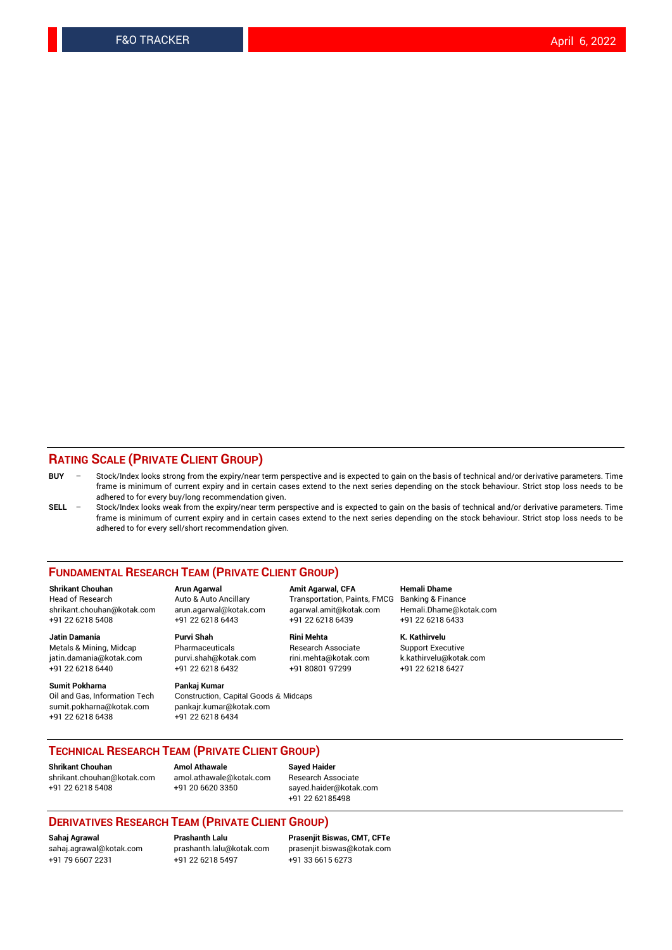#### **RATING SCALE (PRIVATE CLIENT GROUP)**

- **BUY**  Stock/Index looks strong from the expiry/near term perspective and is expected to gain on the basis of technical and/or derivative parameters. Time frame is minimum of current expiry and in certain cases extend to the next series depending on the stock behaviour. Strict stop loss needs to be adhered to for every buy/long recommendation given.
- **SELL** Stock/Index looks weak from the expiry/near term perspective and is expected to gain on the basis of technical and/or derivative parameters. Time frame is minimum of current expiry and in certain cases extend to the next series depending on the stock behaviour. Strict stop loss needs to be adhered to for every sell/short recommendation given.

#### **FUNDAMENTAL RESEARCH TEAM (PRIVATE CLIENT GROUP)**

**Shrikant Chouhan Arun Agarwal Amit Agarwal, CFA Hemali Dhame** shrikant.chouhan@kotak.com arun.agarwal@kotak.com agarwal.amit@kotak.com Hemali.Dhame@kotak.com +91 22 6218 5408 +91 22 6218 6443 +91 22 6218 6439 +91 22 6218 6433

Metals & Mining, Midcap Pharmaceuticals Pharmaceuticals Research Associate Support Executive<br>
iatin.damania@kotak.com purvi.shah@kotak.com rini.mehta@kotak.com k.kathirvelu@kotak.com jatin.damania@kotak.com

**Sumit Pokharna** Pankaj Kumar<br>Oil and Gas, Information Tech Construction, sumit.pokharna@kotak.com pankajr.kumar@kotak.com +91 22 6218 6438 +91 22 6218 6434

# **Jatin Damania Purvi Shah Rini Mehta K. Kathirvelu**

Construction, Capital Goods & Midcaps

Transportation, Paints, FMCG

+91 22 6218 6440 +91 22 6218 6432 +91 80801 97299 +91 22 6218 6427

#### **TECHNICAL RESEARCH TEAM (PRIVATE CLIENT GROUP)**

[shrikant.chouhan@kotak.com](mailto:shrikant.chouhan@kotak.com) [amol.athawale@kotak.com](mailto:amol.athawale@kotak.com) Research Associate +91 22 6218 5408 +91 20 6620 3350 [sayed.haider@kotak.com](mailto:sayed.haider@kotak.com)

**Shrikant Chouhan Amol Athawale Sayed Haider**

+91 22 62185498

#### **DERIVATIVES RESEARCH TEAM (PRIVATE CLIENT GROUP)**

+91 79 6607 2231 +91 22 6218 5497 +91 33 6615 6273

**Sahaj Agrawal Prashanth Lalu Prasenjit Biswas, CMT, CFTe** [prasenjit.biswas@kotak.com](mailto:prasenjit.biswas@kotak.com)